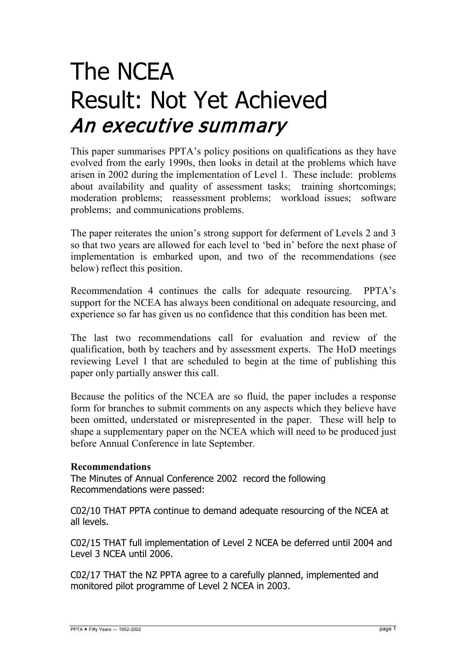# The NCEA Result: Not Yet Achieved An executive summary

This paper summarises PPTA's policy positions on qualifications as they have evolved from the early 1990s, then looks in detail at the problems which have arisen in 2002 during the implementation of Level 1. These include: problems about availability and quality of assessment tasks; training shortcomings; moderation problems; reassessment problems; workload issues; software problems; and communications problems.

The paper reiterates the union's strong support for deferment of Levels 2 and 3 so that two years are allowed for each level to 'bed in' before the next phase of implementation is embarked upon, and two of the recommendations (see below) reflect this position.

Recommendation 4 continues the calls for adequate resourcing. PPTA's support for the NCEA has always been conditional on adequate resourcing, and experience so far has given us no confidence that this condition has been met.

The last two recommendations call for evaluation and review of the qualification, both by teachers and by assessment experts. The HoD meetings reviewing Level 1 that are scheduled to begin at the time of publishing this paper only partially answer this call.

Because the politics of the NCEA are so fluid, the paper includes a response form for branches to submit comments on any aspects which they believe have been omitted, understated or misrepresented in the paper. These will help to shape a supplementary paper on the NCEA which will need to be produced just before Annual Conference in late September.

## **Recommendations**

The Minutes of Annual Conference 2002 record the following Recommendations were passed:

C02/10 THAT PPTA continue to demand adequate resourcing of the NCEA at all levels.

C02/15 THAT full implementation of Level 2 NCEA be deferred until 2004 and Level 3 NCEA until 2006.

C02/17 THAT the NZ PPTA agree to a carefully planned, implemented and monitored pilot programme of Level 2 NCEA in 2003.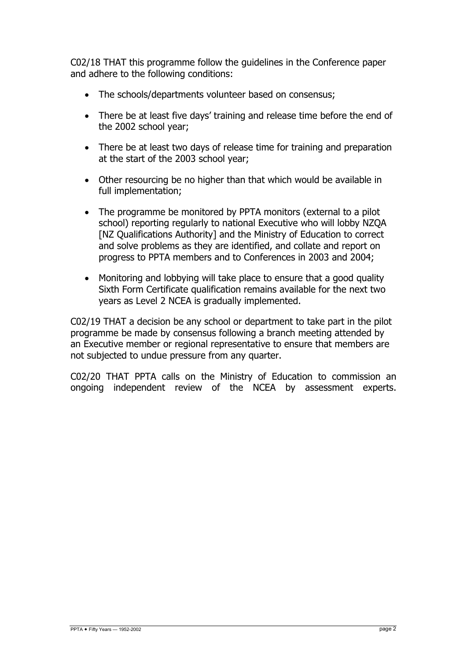C02/18 THAT this programme follow the guidelines in the Conference paper and adhere to the following conditions:

- The schools/departments volunteer based on consensus;
- There be at least five days' training and release time before the end of the 2002 school year;
- There be at least two days of release time for training and preparation at the start of the 2003 school year;
- Other resourcing be no higher than that which would be available in full implementation;
- The programme be monitored by PPTA monitors (external to a pilot school) reporting regularly to national Executive who will lobby NZQA [NZ Qualifications Authority] and the Ministry of Education to correct and solve problems as they are identified, and collate and report on progress to PPTA members and to Conferences in 2003 and 2004;
- Monitoring and lobbying will take place to ensure that a good quality Sixth Form Certificate qualification remains available for the next two years as Level 2 NCEA is gradually implemented.

C02/19 THAT a decision be any school or department to take part in the pilot programme be made by consensus following a branch meeting attended by an Executive member or regional representative to ensure that members are not subjected to undue pressure from any quarter.

C02/20 THAT PPTA calls on the Ministry of Education to commission an ongoing independent review of the NCEA by assessment experts.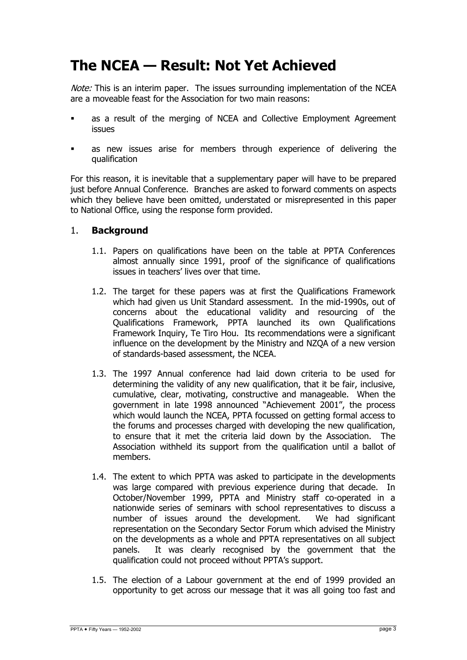# **The NCEA — Result: Not Yet Achieved**

Note: This is an interim paper. The issues surrounding implementation of the NCEA are a moveable feast for the Association for two main reasons:

- as a result of the merging of NCEA and Collective Employment Agreement issues
- as new issues arise for members through experience of delivering the qualification

For this reason, it is inevitable that a supplementary paper will have to be prepared just before Annual Conference. Branches are asked to forward comments on aspects which they believe have been omitted, understated or misrepresented in this paper to National Office, using the response form provided.

#### 1. **Background**

- 1.1. Papers on qualifications have been on the table at PPTA Conferences almost annually since 1991, proof of the significance of qualifications issues in teachers' lives over that time.
- 1.2. The target for these papers was at first the Qualifications Framework which had given us Unit Standard assessment. In the mid-1990s, out of concerns about the educational validity and resourcing of the Qualifications Framework, PPTA launched its own Qualifications Framework Inquiry, Te Tiro Hou. Its recommendations were a significant influence on the development by the Ministry and NZQA of a new version of standards-based assessment, the NCEA.
- 1.3. The 1997 Annual conference had laid down criteria to be used for determining the validity of any new qualification, that it be fair, inclusive, cumulative, clear, motivating, constructive and manageable. When the government in late 1998 announced "Achievement 2001", the process which would launch the NCEA, PPTA focussed on getting formal access to the forums and processes charged with developing the new qualification, to ensure that it met the criteria laid down by the Association. The Association withheld its support from the qualification until a ballot of members.
- 1.4. The extent to which PPTA was asked to participate in the developments was large compared with previous experience during that decade. In October/November 1999, PPTA and Ministry staff co-operated in a nationwide series of seminars with school representatives to discuss a number of issues around the development. We had significant representation on the Secondary Sector Forum which advised the Ministry on the developments as a whole and PPTA representatives on all subject panels. It was clearly recognised by the government that the qualification could not proceed without PPTA's support.
- 1.5. The election of a Labour government at the end of 1999 provided an opportunity to get across our message that it was all going too fast and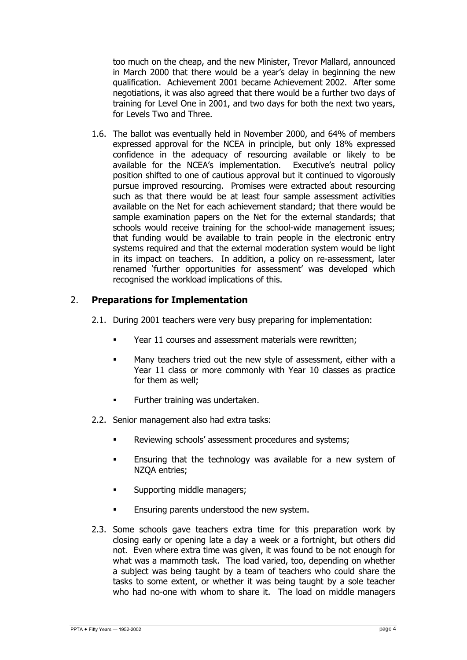too much on the cheap, and the new Minister, Trevor Mallard, announced in March 2000 that there would be a year's delay in beginning the new qualification. Achievement 2001 became Achievement 2002. After some negotiations, it was also agreed that there would be a further two days of training for Level One in 2001, and two days for both the next two years, for Levels Two and Three.

1.6. The ballot was eventually held in November 2000, and 64% of members expressed approval for the NCEA in principle, but only 18% expressed confidence in the adequacy of resourcing available or likely to be available for the NCEA's implementation. Executive's neutral policy position shifted to one of cautious approval but it continued to vigorously pursue improved resourcing. Promises were extracted about resourcing such as that there would be at least four sample assessment activities available on the Net for each achievement standard; that there would be sample examination papers on the Net for the external standards; that schools would receive training for the school-wide management issues; that funding would be available to train people in the electronic entry systems required and that the external moderation system would be light in its impact on teachers. In addition, a policy on re-assessment, later renamed 'further opportunities for assessment' was developed which recognised the workload implications of this.

#### 2. **Preparations for Implementation**

- 2.1. During 2001 teachers were very busy preparing for implementation:
	- Year 11 courses and assessment materials were rewritten;
	- Many teachers tried out the new style of assessment, either with a Year 11 class or more commonly with Year 10 classes as practice for them as well;
	- **Further training was undertaken.**
- 2.2. Senior management also had extra tasks:
	- **Reviewing schools' assessment procedures and systems;**
	- **Ensuring that the technology was available for a new system of** NZQA entries;
	- **Supporting middle managers;**
	- Ensuring parents understood the new system.
- 2.3. Some schools gave teachers extra time for this preparation work by closing early or opening late a day a week or a fortnight, but others did not. Even where extra time was given, it was found to be not enough for what was a mammoth task. The load varied, too, depending on whether a subject was being taught by a team of teachers who could share the tasks to some extent, or whether it was being taught by a sole teacher who had no-one with whom to share it. The load on middle managers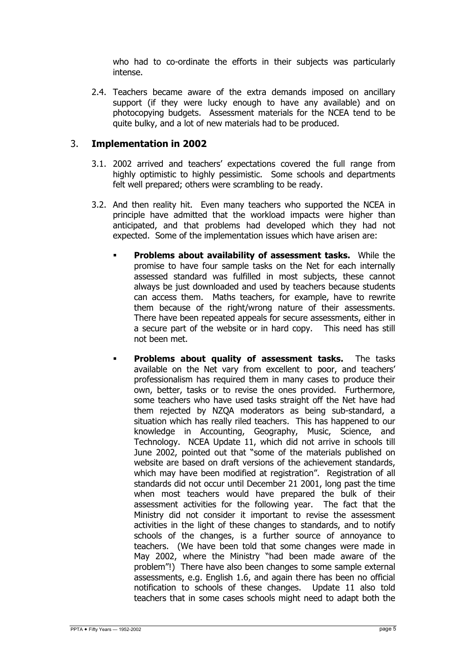who had to co-ordinate the efforts in their subjects was particularly intense.

2.4. Teachers became aware of the extra demands imposed on ancillary support (if they were lucky enough to have any available) and on photocopying budgets. Assessment materials for the NCEA tend to be quite bulky, and a lot of new materials had to be produced.

#### 3. **Implementation in 2002**

- 3.1. 2002 arrived and teachers' expectations covered the full range from highly optimistic to highly pessimistic. Some schools and departments felt well prepared; others were scrambling to be ready.
- 3.2. And then reality hit. Even many teachers who supported the NCEA in principle have admitted that the workload impacts were higher than anticipated, and that problems had developed which they had not expected. Some of the implementation issues which have arisen are:
	- **Problems about availability of assessment tasks.** While the promise to have four sample tasks on the Net for each internally assessed standard was fulfilled in most subjects, these cannot always be just downloaded and used by teachers because students can access them. Maths teachers, for example, have to rewrite them because of the right/wrong nature of their assessments. There have been repeated appeals for secure assessments, either in a secure part of the website or in hard copy. This need has still not been met.
	- **Problems about quality of assessment tasks.** The tasks available on the Net vary from excellent to poor, and teachers' professionalism has required them in many cases to produce their own, better, tasks or to revise the ones provided. Furthermore, some teachers who have used tasks straight off the Net have had them rejected by NZQA moderators as being sub-standard, a situation which has really riled teachers. This has happened to our knowledge in Accounting, Geography, Music, Science, and Technology. NCEA Update 11, which did not arrive in schools till June 2002, pointed out that "some of the materials published on website are based on draft versions of the achievement standards, which may have been modified at registration". Registration of all standards did not occur until December 21 2001, long past the time when most teachers would have prepared the bulk of their assessment activities for the following year. The fact that the Ministry did not consider it important to revise the assessment activities in the light of these changes to standards, and to notify schools of the changes, is a further source of annoyance to teachers. (We have been told that some changes were made in May 2002, where the Ministry "had been made aware of the problem"!) There have also been changes to some sample external assessments, e.g. English 1.6, and again there has been no official notification to schools of these changes. Update 11 also told teachers that in some cases schools might need to adapt both the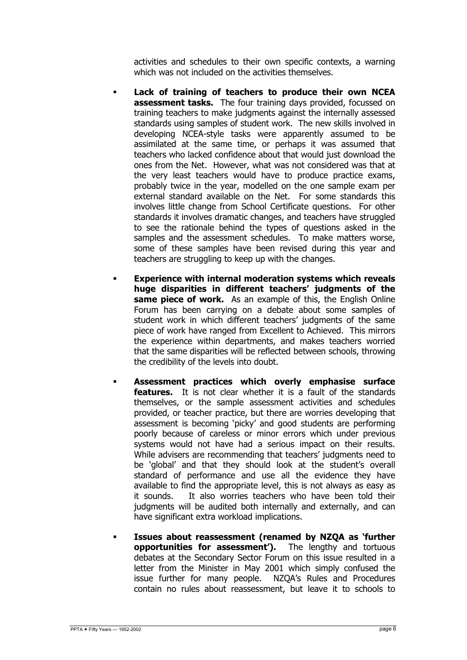activities and schedules to their own specific contexts, a warning which was not included on the activities themselves.

- **Lack of training of teachers to produce their own NCEA assessment tasks.** The four training days provided, focussed on training teachers to make judgments against the internally assessed standards using samples of student work. The new skills involved in developing NCEA-style tasks were apparently assumed to be assimilated at the same time, or perhaps it was assumed that teachers who lacked confidence about that would just download the ones from the Net. However, what was not considered was that at the very least teachers would have to produce practice exams, probably twice in the year, modelled on the one sample exam per external standard available on the Net. For some standards this involves little change from School Certificate questions. For other standards it involves dramatic changes, and teachers have struggled to see the rationale behind the types of questions asked in the samples and the assessment schedules. To make matters worse, some of these samples have been revised during this year and teachers are struggling to keep up with the changes.
- **Experience with internal moderation systems which reveals huge disparities in different teachers' judgments of the same piece of work.** As an example of this, the English Online Forum has been carrying on a debate about some samples of student work in which different teachers' judgments of the same piece of work have ranged from Excellent to Achieved. This mirrors the experience within departments, and makes teachers worried that the same disparities will be reflected between schools, throwing the credibility of the levels into doubt.
- **Assessment practices which overly emphasise surface features.** It is not clear whether it is a fault of the standards themselves, or the sample assessment activities and schedules provided, or teacher practice, but there are worries developing that assessment is becoming 'picky' and good students are performing poorly because of careless or minor errors which under previous systems would not have had a serious impact on their results. While advisers are recommending that teachers' judgments need to be 'global' and that they should look at the student's overall standard of performance and use all the evidence they have available to find the appropriate level, this is not always as easy as it sounds. It also worries teachers who have been told their judgments will be audited both internally and externally, and can have significant extra workload implications.
- **Issues about reassessment (renamed by NZQA as 'further opportunities for assessment').** The lengthy and tortuous debates at the Secondary Sector Forum on this issue resulted in a letter from the Minister in May 2001 which simply confused the issue further for many people. NZQA's Rules and Procedures contain no rules about reassessment, but leave it to schools to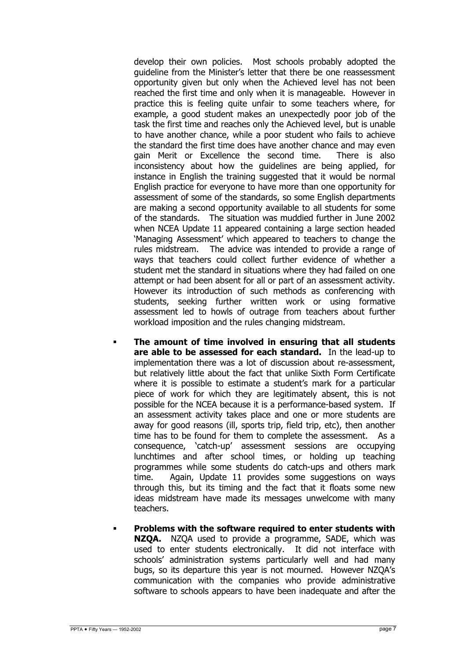develop their own policies. Most schools probably adopted the guideline from the Minister's letter that there be one reassessment opportunity given but only when the Achieved level has not been reached the first time and only when it is manageable. However in practice this is feeling quite unfair to some teachers where, for example, a good student makes an unexpectedly poor job of the task the first time and reaches only the Achieved level, but is unable to have another chance, while a poor student who fails to achieve the standard the first time does have another chance and may even gain Merit or Excellence the second time. There is also inconsistency about how the guidelines are being applied, for instance in English the training suggested that it would be normal English practice for everyone to have more than one opportunity for assessment of some of the standards, so some English departments are making a second opportunity available to all students for some of the standards. The situation was muddied further in June 2002 when NCEA Update 11 appeared containing a large section headed 'Managing Assessment' which appeared to teachers to change the rules midstream. The advice was intended to provide a range of ways that teachers could collect further evidence of whether a student met the standard in situations where they had failed on one attempt or had been absent for all or part of an assessment activity. However its introduction of such methods as conferencing with students, seeking further written work or using formative assessment led to howls of outrage from teachers about further workload imposition and the rules changing midstream.

- **The amount of time involved in ensuring that all students are able to be assessed for each standard.** In the lead-up to implementation there was a lot of discussion about re-assessment, but relatively little about the fact that unlike Sixth Form Certificate where it is possible to estimate a student's mark for a particular piece of work for which they are legitimately absent, this is not possible for the NCEA because it is a performance-based system. If an assessment activity takes place and one or more students are away for good reasons (ill, sports trip, field trip, etc), then another time has to be found for them to complete the assessment. As a consequence, 'catch-up' assessment sessions are occupying lunchtimes and after school times, or holding up teaching programmes while some students do catch-ups and others mark time. Again, Update 11 provides some suggestions on ways through this, but its timing and the fact that it floats some new ideas midstream have made its messages unwelcome with many teachers.
- **Problems with the software required to enter students with NZQA.** NZQA used to provide a programme, SADE, which was used to enter students electronically. It did not interface with schools' administration systems particularly well and had many bugs, so its departure this year is not mourned. However NZQA's communication with the companies who provide administrative software to schools appears to have been inadequate and after the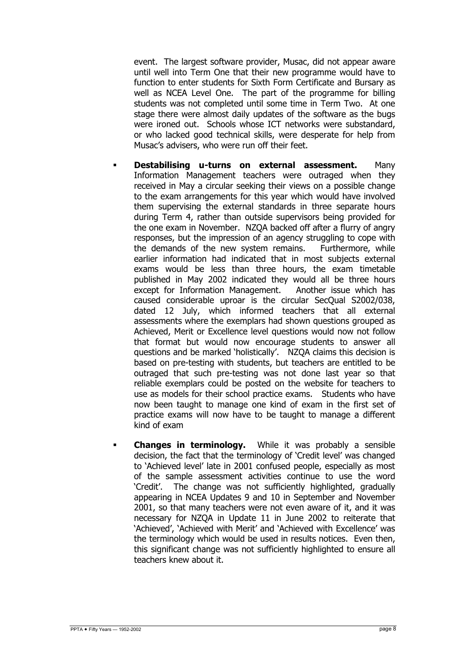event. The largest software provider, Musac, did not appear aware until well into Term One that their new programme would have to function to enter students for Sixth Form Certificate and Bursary as well as NCEA Level One. The part of the programme for billing students was not completed until some time in Term Two. At one stage there were almost daily updates of the software as the bugs were ironed out. Schools whose ICT networks were substandard, or who lacked good technical skills, were desperate for help from Musac's advisers, who were run off their feet.

- **Destabilising u-turns on external assessment.** Many Information Management teachers were outraged when they received in May a circular seeking their views on a possible change to the exam arrangements for this year which would have involved them supervising the external standards in three separate hours during Term 4, rather than outside supervisors being provided for the one exam in November. NZQA backed off after a flurry of angry responses, but the impression of an agency struggling to cope with the demands of the new system remains. Furthermore, while earlier information had indicated that in most subjects external exams would be less than three hours, the exam timetable published in May 2002 indicated they would all be three hours except for Information Management. Another issue which has caused considerable uproar is the circular SecQual S2002/038, dated 12 July, which informed teachers that all external assessments where the exemplars had shown questions grouped as Achieved, Merit or Excellence level questions would now not follow that format but would now encourage students to answer all questions and be marked 'holistically'. NZQA claims this decision is based on pre-testing with students, but teachers are entitled to be outraged that such pre-testing was not done last year so that reliable exemplars could be posted on the website for teachers to use as models for their school practice exams. Students who have now been taught to manage one kind of exam in the first set of practice exams will now have to be taught to manage a different kind of exam
- **Changes in terminology.** While it was probably a sensible decision, the fact that the terminology of 'Credit level' was changed to 'Achieved level' late in 2001 confused people, especially as most of the sample assessment activities continue to use the word 'Credit'. The change was not sufficiently highlighted, gradually appearing in NCEA Updates 9 and 10 in September and November 2001, so that many teachers were not even aware of it, and it was necessary for NZQA in Update 11 in June 2002 to reiterate that 'Achieved', 'Achieved with Merit' and 'Achieved with Excellence' was the terminology which would be used in results notices. Even then, this significant change was not sufficiently highlighted to ensure all teachers knew about it.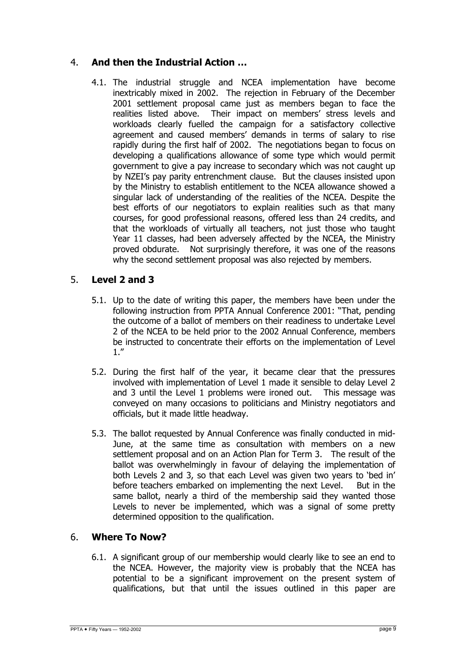# 4. **And then the Industrial Action …**

4.1. The industrial struggle and NCEA implementation have become inextricably mixed in 2002. The rejection in February of the December 2001 settlement proposal came just as members began to face the realities listed above. Their impact on members' stress levels and workloads clearly fuelled the campaign for a satisfactory collective agreement and caused members' demands in terms of salary to rise rapidly during the first half of 2002. The negotiations began to focus on developing a qualifications allowance of some type which would permit government to give a pay increase to secondary which was not caught up by NZEI's pay parity entrenchment clause. But the clauses insisted upon by the Ministry to establish entitlement to the NCEA allowance showed a singular lack of understanding of the realities of the NCEA. Despite the best efforts of our negotiators to explain realities such as that many courses, for good professional reasons, offered less than 24 credits, and that the workloads of virtually all teachers, not just those who taught Year 11 classes, had been adversely affected by the NCEA, the Ministry proved obdurate. Not surprisingly therefore, it was one of the reasons why the second settlement proposal was also rejected by members.

## 5. **Level 2 and 3**

- 5.1. Up to the date of writing this paper, the members have been under the following instruction from PPTA Annual Conference 2001: "That, pending the outcome of a ballot of members on their readiness to undertake Level 2 of the NCEA to be held prior to the 2002 Annual Conference, members be instructed to concentrate their efforts on the implementation of Level 1."
- 5.2. During the first half of the year, it became clear that the pressures involved with implementation of Level 1 made it sensible to delay Level 2 and 3 until the Level 1 problems were ironed out. This message was conveyed on many occasions to politicians and Ministry negotiators and officials, but it made little headway.
- 5.3. The ballot requested by Annual Conference was finally conducted in mid-June, at the same time as consultation with members on a new settlement proposal and on an Action Plan for Term 3. The result of the ballot was overwhelmingly in favour of delaying the implementation of both Levels 2 and 3, so that each Level was given two years to 'bed in' before teachers embarked on implementing the next Level. But in the same ballot, nearly a third of the membership said they wanted those Levels to never be implemented, which was a signal of some pretty determined opposition to the qualification.

## 6. **Where To Now?**

6.1. A significant group of our membership would clearly like to see an end to the NCEA. However, the majority view is probably that the NCEA has potential to be a significant improvement on the present system of qualifications, but that until the issues outlined in this paper are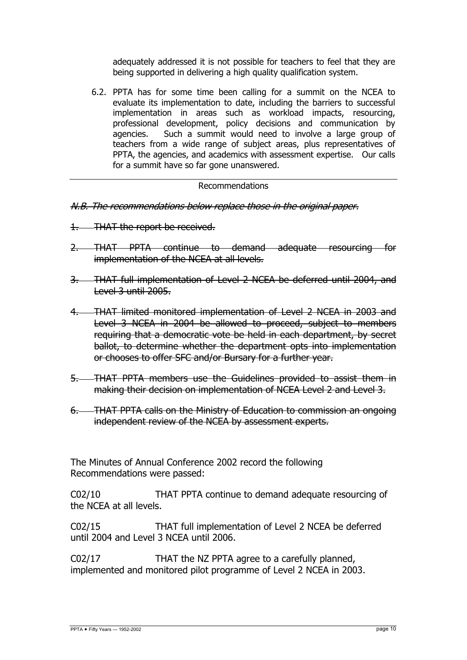adequately addressed it is not possible for teachers to feel that they are being supported in delivering a high quality qualification system.

6.2. PPTA has for some time been calling for a summit on the NCEA to evaluate its implementation to date, including the barriers to successful implementation in areas such as workload impacts, resourcing, professional development, policy decisions and communication by agencies. Such a summit would need to involve a large group of teachers from a wide range of subject areas, plus representatives of PPTA, the agencies, and academics with assessment expertise. Our calls for a summit have so far gone unanswered.

#### Recommendations

- N.B. The recommendations below replace those in the original paper.
- 1. THAT the report be received.
- 2. THAT PPTA continue to demand adequate resourcing for implementation of the NCEA at all levels.
- 3. THAT full implementation of Level 2 NCEA be deferred until 2004, and Level 3 until 2005.
- 4. THAT limited monitored implementation of Level 2 NCEA in 2003 and Level 3 NCEA in 2004 be allowed to proceed, subject to members requiring that a democratic vote be held in each department, by secret ballot, to determine whether the department opts into implementation or chooses to offer SFC and/or Bursary for a further year.
- 5. THAT PPTA members use the Guidelines provided to assist them in making their decision on implementation of NCEA Level 2 and Level 3.
- 6. THAT PPTA calls on the Ministry of Education to commission an ongoing independent review of the NCEA by assessment experts.

The Minutes of Annual Conference 2002 record the following Recommendations were passed:

C02/10 THAT PPTA continue to demand adequate resourcing of the NCEA at all levels.

C02/15 THAT full implementation of Level 2 NCEA be deferred until 2004 and Level 3 NCEA until 2006.

C02/17 THAT the NZ PPTA agree to a carefully planned, implemented and monitored pilot programme of Level 2 NCEA in 2003.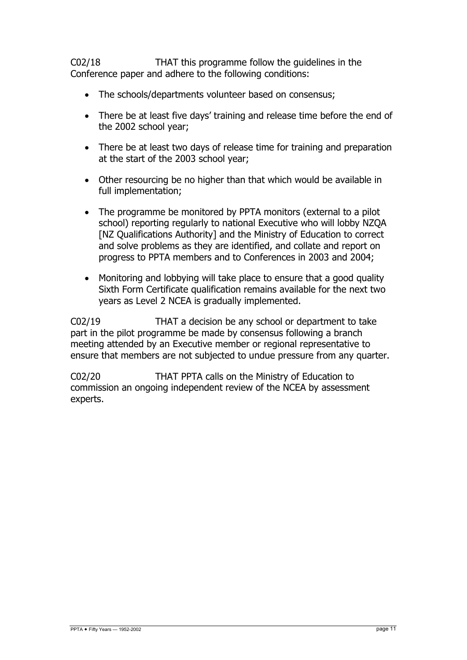C02/18 THAT this programme follow the guidelines in the Conference paper and adhere to the following conditions:

- The schools/departments volunteer based on consensus;
- There be at least five days' training and release time before the end of the 2002 school year;
- There be at least two days of release time for training and preparation at the start of the 2003 school year;
- Other resourcing be no higher than that which would be available in full implementation;
- The programme be monitored by PPTA monitors (external to a pilot school) reporting regularly to national Executive who will lobby NZQA [NZ Qualifications Authority] and the Ministry of Education to correct and solve problems as they are identified, and collate and report on progress to PPTA members and to Conferences in 2003 and 2004;
- Monitoring and lobbying will take place to ensure that a good quality Sixth Form Certificate qualification remains available for the next two years as Level 2 NCEA is gradually implemented.

C02/19 THAT a decision be any school or department to take part in the pilot programme be made by consensus following a branch meeting attended by an Executive member or regional representative to ensure that members are not subjected to undue pressure from any quarter.

C02/20 THAT PPTA calls on the Ministry of Education to commission an ongoing independent review of the NCEA by assessment experts.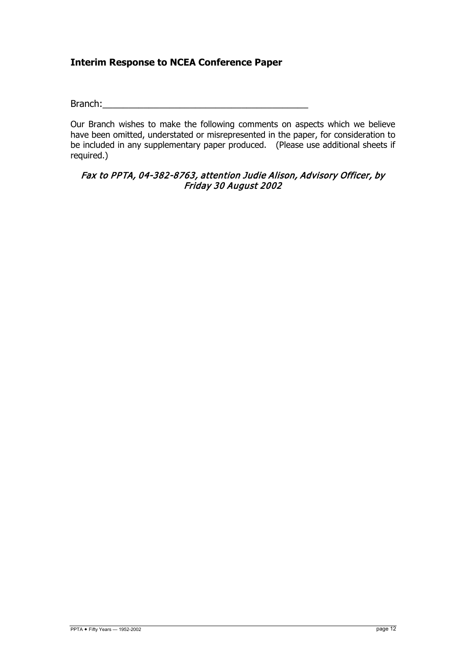# **Interim Response to NCEA Conference Paper**

Branch:

Our Branch wishes to make the following comments on aspects which we believe have been omitted, understated or misrepresented in the paper, for consideration to be included in any supplementary paper produced. (Please use additional sheets if required.)

#### Fax to PPTA, 04-382-8763, attention Judie Alison, Advisory Officer, by Friday 30 August 2002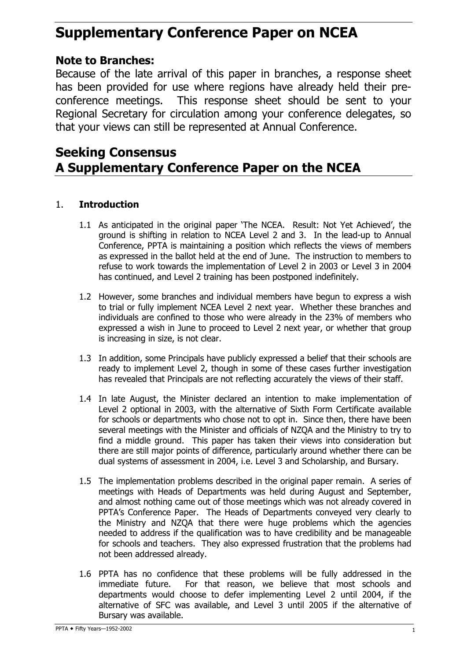# **Supplementary Conference Paper on NCEA**

# **Note to Branches:**

Because of the late arrival of this paper in branches, a response sheet has been provided for use where regions have already held their preconference meetings. This response sheet should be sent to your Regional Secretary for circulation among your conference delegates, so that your views can still be represented at Annual Conference.

# **Seeking Consensus A Supplementary Conference Paper on the NCEA**

# 1. **Introduction**

- 1.1 As anticipated in the original paper 'The NCEA. Result: Not Yet Achieved', the ground is shifting in relation to NCEA Level 2 and 3. In the lead-up to Annual Conference, PPTA is maintaining a position which reflects the views of members as expressed in the ballot held at the end of June. The instruction to members to refuse to work towards the implementation of Level 2 in 2003 or Level 3 in 2004 has continued, and Level 2 training has been postponed indefinitely.
- 1.2 However, some branches and individual members have begun to express a wish to trial or fully implement NCEA Level 2 next year. Whether these branches and individuals are confined to those who were already in the 23% of members who expressed a wish in June to proceed to Level 2 next year, or whether that group is increasing in size, is not clear.
- 1.3 In addition, some Principals have publicly expressed a belief that their schools are ready to implement Level 2, though in some of these cases further investigation has revealed that Principals are not reflecting accurately the views of their staff.
- 1.4 In late August, the Minister declared an intention to make implementation of Level 2 optional in 2003, with the alternative of Sixth Form Certificate available for schools or departments who chose not to opt in. Since then, there have been several meetings with the Minister and officials of NZQA and the Ministry to try to find a middle ground. This paper has taken their views into consideration but there are still major points of difference, particularly around whether there can be dual systems of assessment in 2004, i.e. Level 3 and Scholarship, and Bursary.
- 1.5 The implementation problems described in the original paper remain. A series of meetings with Heads of Departments was held during August and September, and almost nothing came out of those meetings which was not already covered in PPTA's Conference Paper. The Heads of Departments conveyed very clearly to the Ministry and NZQA that there were huge problems which the agencies needed to address if the qualification was to have credibility and be manageable for schools and teachers. They also expressed frustration that the problems had not been addressed already.
- 1.6 PPTA has no confidence that these problems will be fully addressed in the immediate future. For that reason, we believe that most schools and departments would choose to defer implementing Level 2 until 2004, if the alternative of SFC was available, and Level 3 until 2005 if the alternative of Bursary was available.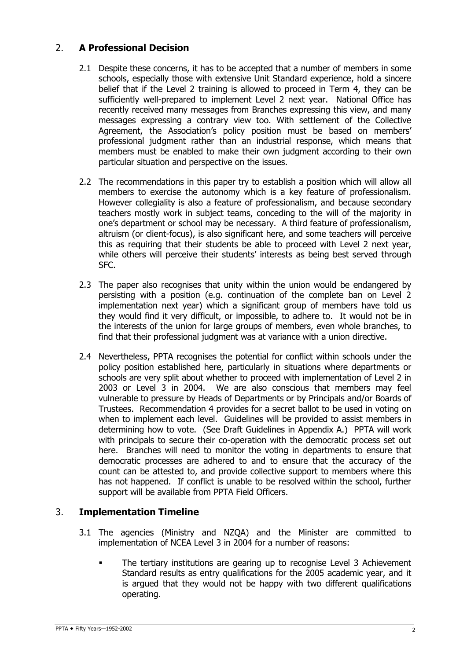# 2. **A Professional Decision**

- 2.1 Despite these concerns, it has to be accepted that a number of members in some schools, especially those with extensive Unit Standard experience, hold a sincere belief that if the Level 2 training is allowed to proceed in Term 4, they can be sufficiently well-prepared to implement Level 2 next year. National Office has recently received many messages from Branches expressing this view, and many messages expressing a contrary view too. With settlement of the Collective Agreement, the Association's policy position must be based on members' professional judgment rather than an industrial response, which means that members must be enabled to make their own judgment according to their own particular situation and perspective on the issues.
- 2.2 The recommendations in this paper try to establish a position which will allow all members to exercise the autonomy which is a key feature of professionalism. However collegiality is also a feature of professionalism, and because secondary teachers mostly work in subject teams, conceding to the will of the majority in one's department or school may be necessary. A third feature of professionalism, altruism (or client-focus), is also significant here, and some teachers will perceive this as requiring that their students be able to proceed with Level 2 next year, while others will perceive their students' interests as being best served through SFC.
- 2.3 The paper also recognises that unity within the union would be endangered by persisting with a position (e.g. continuation of the complete ban on Level 2 implementation next year) which a significant group of members have told us they would find it very difficult, or impossible, to adhere to. It would not be in the interests of the union for large groups of members, even whole branches, to find that their professional judgment was at variance with a union directive.
- 2.4 Nevertheless, PPTA recognises the potential for conflict within schools under the policy position established here, particularly in situations where departments or schools are very split about whether to proceed with implementation of Level 2 in 2003 or Level 3 in 2004. We are also conscious that members may feel vulnerable to pressure by Heads of Departments or by Principals and/or Boards of Trustees. Recommendation 4 provides for a secret ballot to be used in voting on when to implement each level. Guidelines will be provided to assist members in determining how to vote. (See Draft Guidelines in Appendix A.) PPTA will work with principals to secure their co-operation with the democratic process set out here. Branches will need to monitor the voting in departments to ensure that democratic processes are adhered to and to ensure that the accuracy of the count can be attested to, and provide collective support to members where this has not happened. If conflict is unable to be resolved within the school, further support will be available from PPTA Field Officers.

## 3. **Implementation Timeline**

- 3.1 The agencies (Ministry and NZQA) and the Minister are committed to implementation of NCEA Level 3 in 2004 for a number of reasons:
	- The tertiary institutions are gearing up to recognise Level 3 Achievement Standard results as entry qualifications for the 2005 academic year, and it is argued that they would not be happy with two different qualifications operating.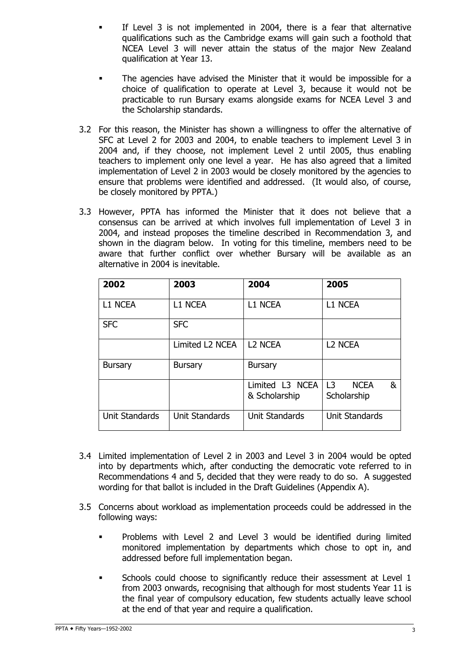- If Level 3 is not implemented in 2004, there is a fear that alternative qualifications such as the Cambridge exams will gain such a foothold that NCEA Level 3 will never attain the status of the major New Zealand qualification at Year 13.
- The agencies have advised the Minister that it would be impossible for a choice of qualification to operate at Level 3, because it would not be practicable to run Bursary exams alongside exams for NCEA Level 3 and the Scholarship standards.
- 3.2 For this reason, the Minister has shown a willingness to offer the alternative of SFC at Level 2 for 2003 and 2004, to enable teachers to implement Level 3 in 2004 and, if they choose, not implement Level 2 until 2005, thus enabling teachers to implement only one level a year. He has also agreed that a limited implementation of Level 2 in 2003 would be closely monitored by the agencies to ensure that problems were identified and addressed. (It would also, of course, be closely monitored by PPTA.)
- 3.3 However, PPTA has informed the Minister that it does not believe that a consensus can be arrived at which involves full implementation of Level 3 in 2004, and instead proposes the timeline described in Recommendation 3, and shown in the diagram below. In voting for this timeline, members need to be aware that further conflict over whether Bursary will be available as an alternative in 2004 is inevitable.

| 2002           | 2003                  | 2004                             | 2005                                              |
|----------------|-----------------------|----------------------------------|---------------------------------------------------|
| <b>L1 NCEA</b> | <b>L1 NCEA</b>        | L1 NCEA                          | <b>L1 NCEA</b>                                    |
| <b>SFC</b>     | <b>SFC</b>            |                                  |                                                   |
|                | Limited L2 NCEA       | <b>L2 NCEA</b>                   | L2 NCEA                                           |
| <b>Bursary</b> | Bursary               | <b>Bursary</b>                   |                                                   |
|                |                       | Limited L3 NCEA<br>& Scholarship | L <sub>3</sub><br>&<br><b>NCEA</b><br>Scholarship |
| Unit Standards | <b>Unit Standards</b> | <b>Unit Standards</b>            | <b>Unit Standards</b>                             |

- 3.4 Limited implementation of Level 2 in 2003 and Level 3 in 2004 would be opted into by departments which, after conducting the democratic vote referred to in Recommendations 4 and 5, decided that they were ready to do so. A suggested wording for that ballot is included in the Draft Guidelines (Appendix A).
- 3.5 Concerns about workload as implementation proceeds could be addressed in the following ways:
	- Problems with Level 2 and Level 3 would be identified during limited monitored implementation by departments which chose to opt in, and addressed before full implementation began.
	- Schools could choose to significantly reduce their assessment at Level 1 from 2003 onwards, recognising that although for most students Year 11 is the final year of compulsory education, few students actually leave school at the end of that year and require a qualification.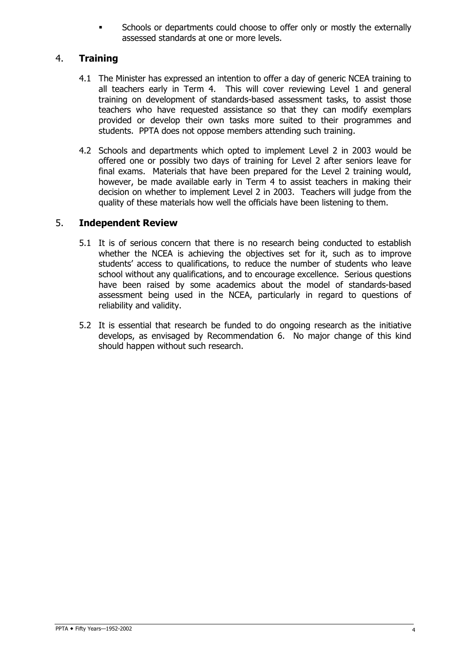Schools or departments could choose to offer only or mostly the externally assessed standards at one or more levels.

# 4. **Training**

- 4.1 The Minister has expressed an intention to offer a day of generic NCEA training to all teachers early in Term 4. This will cover reviewing Level 1 and general training on development of standards-based assessment tasks, to assist those teachers who have requested assistance so that they can modify exemplars provided or develop their own tasks more suited to their programmes and students. PPTA does not oppose members attending such training.
- 4.2 Schools and departments which opted to implement Level 2 in 2003 would be offered one or possibly two days of training for Level 2 after seniors leave for final exams. Materials that have been prepared for the Level 2 training would, however, be made available early in Term 4 to assist teachers in making their decision on whether to implement Level 2 in 2003. Teachers will judge from the quality of these materials how well the officials have been listening to them.

#### 5. **Independent Review**

- 5.1 It is of serious concern that there is no research being conducted to establish whether the NCEA is achieving the objectives set for it, such as to improve students' access to qualifications, to reduce the number of students who leave school without any qualifications, and to encourage excellence. Serious questions have been raised by some academics about the model of standards-based assessment being used in the NCEA, particularly in regard to questions of reliability and validity.
- 5.2 It is essential that research be funded to do ongoing research as the initiative develops, as envisaged by Recommendation 6. No major change of this kind should happen without such research.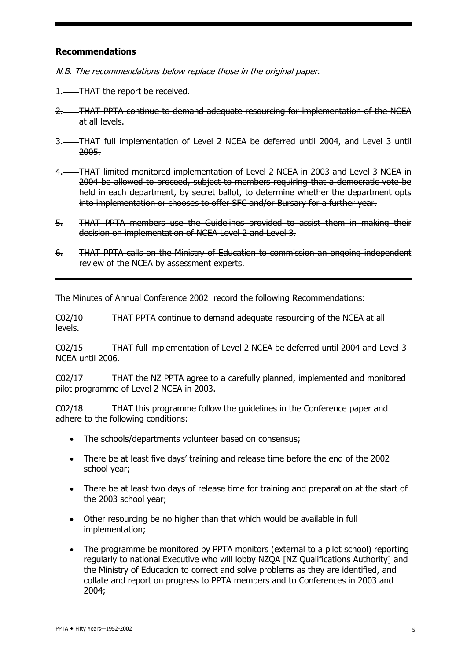#### **Recommendations**

N.B. The recommendations below replace those in the original paper.

1. THAT the report be received.

- 2. THAT PPTA continue to demand adequate resourcing for implementation of the NCEA at all levels.
- 3. THAT full implementation of Level 2 NCEA be deferred until 2004, and Level 3 until 2005.
- 4. THAT limited monitored implementation of Level 2 NCEA in 2003 and Level 3 NCEA in 2004 be allowed to proceed, subject to members requiring that a democratic vote be held in each department, by secret ballot, to determine whether the department opts into implementation or chooses to offer SFC and/or Bursary for a further year.
- 5. THAT PPTA members use the Guidelines provided to assist them in making their decision on implementation of NCEA Level 2 and Level 3.
- 6. THAT PPTA calls on the Ministry of Education to commission an ongoing independent review of the NCEA by assessment experts.

The Minutes of Annual Conference 2002 record the following Recommendations:

C02/10 THAT PPTA continue to demand adequate resourcing of the NCEA at all levels.

C02/15 THAT full implementation of Level 2 NCEA be deferred until 2004 and Level 3 NCEA until 2006.

C02/17 THAT the NZ PPTA agree to a carefully planned, implemented and monitored pilot programme of Level 2 NCEA in 2003.

C02/18 THAT this programme follow the guidelines in the Conference paper and adhere to the following conditions:

- The schools/departments volunteer based on consensus;
- There be at least five days' training and release time before the end of the 2002 school year;
- There be at least two days of release time for training and preparation at the start of the 2003 school year;
- Other resourcing be no higher than that which would be available in full implementation;
- The programme be monitored by PPTA monitors (external to a pilot school) reporting regularly to national Executive who will lobby NZQA [NZ Qualifications Authority] and the Ministry of Education to correct and solve problems as they are identified, and collate and report on progress to PPTA members and to Conferences in 2003 and 2004;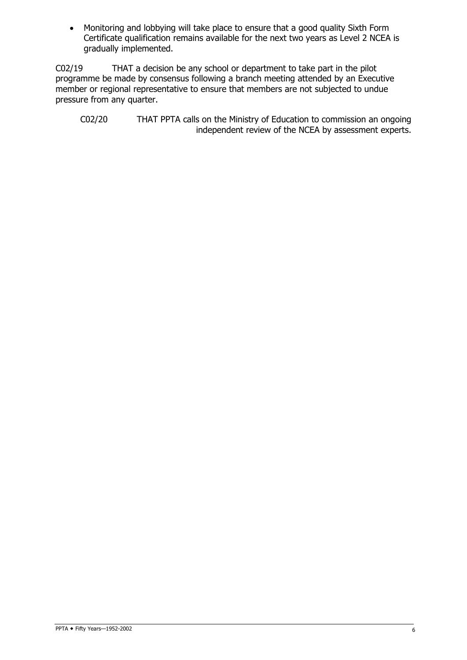• Monitoring and lobbying will take place to ensure that a good quality Sixth Form Certificate qualification remains available for the next two years as Level 2 NCEA is gradually implemented.

C02/19 THAT a decision be any school or department to take part in the pilot programme be made by consensus following a branch meeting attended by an Executive member or regional representative to ensure that members are not subjected to undue pressure from any quarter.

C02/20 THAT PPTA calls on the Ministry of Education to commission an ongoing independent review of the NCEA by assessment experts.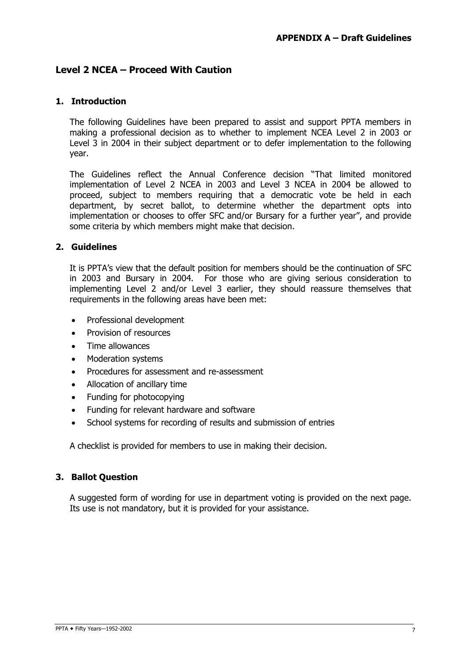# **Level 2 NCEA – Proceed With Caution**

#### **1. Introduction**

The following Guidelines have been prepared to assist and support PPTA members in making a professional decision as to whether to implement NCEA Level 2 in 2003 or Level 3 in 2004 in their subject department or to defer implementation to the following year.

The Guidelines reflect the Annual Conference decision "That limited monitored implementation of Level 2 NCEA in 2003 and Level 3 NCEA in 2004 be allowed to proceed, subject to members requiring that a democratic vote be held in each department, by secret ballot, to determine whether the department opts into implementation or chooses to offer SFC and/or Bursary for a further year", and provide some criteria by which members might make that decision.

#### **2. Guidelines**

It is PPTA's view that the default position for members should be the continuation of SFC in 2003 and Bursary in 2004. For those who are giving serious consideration to implementing Level 2 and/or Level 3 earlier, they should reassure themselves that requirements in the following areas have been met:

- Professional development
- Provision of resources
- Time allowances
- Moderation systems
- Procedures for assessment and re-assessment
- Allocation of ancillary time
- Funding for photocopying
- Funding for relevant hardware and software
- School systems for recording of results and submission of entries

A checklist is provided for members to use in making their decision.

#### **3. Ballot Question**

A suggested form of wording for use in department voting is provided on the next page. Its use is not mandatory, but it is provided for your assistance.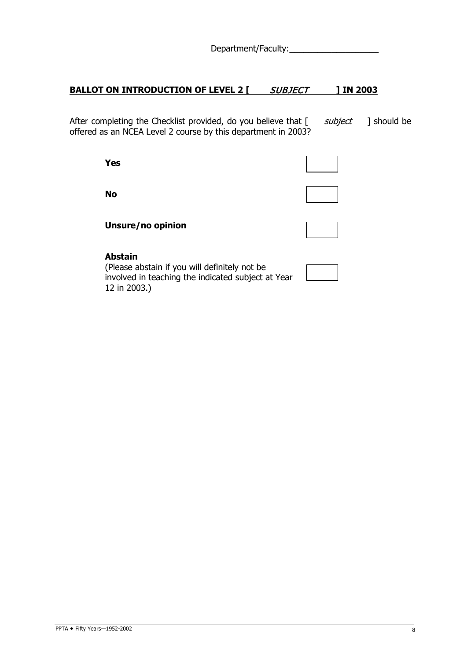Department/Faculty:\_\_\_\_\_\_\_\_\_\_\_\_\_\_\_\_\_\_\_

#### **BALLOT ON INTRODUCTION OF LEVEL 2 [ SUBJECT ] IN 2003**

After completing the Checklist provided, do you believe that  $[$  subject ] should be offered as an NCEA Level 2 course by this department in 2003?

**Yes**

**No**

**Unsure/no opinion**

#### **Abstain**

(Please abstain if you will definitely not be involved in teaching the indicated subject at Year 12 in 2003.)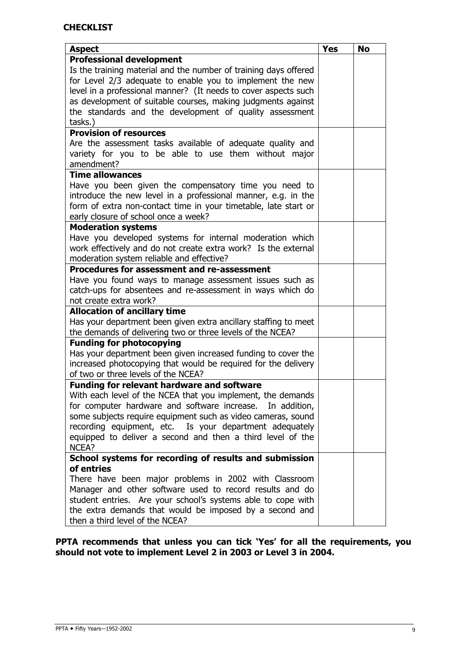| <b>Aspect</b>                                                                                                             | <b>Yes</b> | <b>No</b> |
|---------------------------------------------------------------------------------------------------------------------------|------------|-----------|
| <b>Professional development</b>                                                                                           |            |           |
| Is the training material and the number of training days offered                                                          |            |           |
| for Level 2/3 adequate to enable you to implement the new                                                                 |            |           |
| level in a professional manner? (It needs to cover aspects such                                                           |            |           |
| as development of suitable courses, making judgments against                                                              |            |           |
| the standards and the development of quality assessment                                                                   |            |           |
| tasks.)                                                                                                                   |            |           |
| <b>Provision of resources</b>                                                                                             |            |           |
| Are the assessment tasks available of adequate quality and                                                                |            |           |
| variety for you to be able to use them without major                                                                      |            |           |
| amendment?                                                                                                                |            |           |
| <b>Time allowances</b>                                                                                                    |            |           |
| Have you been given the compensatory time you need to                                                                     |            |           |
| introduce the new level in a professional manner, e.g. in the                                                             |            |           |
| form of extra non-contact time in your timetable, late start or                                                           |            |           |
| early closure of school once a week?                                                                                      |            |           |
| <b>Moderation systems</b>                                                                                                 |            |           |
| Have you developed systems for internal moderation which                                                                  |            |           |
| work effectively and do not create extra work? Is the external                                                            |            |           |
| moderation system reliable and effective?                                                                                 |            |           |
| Procedures for assessment and re-assessment                                                                               |            |           |
| Have you found ways to manage assessment issues such as                                                                   |            |           |
| catch-ups for absentees and re-assessment in ways which do                                                                |            |           |
| not create extra work?                                                                                                    |            |           |
| <b>Allocation of ancillary time</b>                                                                                       |            |           |
| Has your department been given extra ancillary staffing to meet                                                           |            |           |
| the demands of delivering two or three levels of the NCEA?                                                                |            |           |
| <b>Funding for photocopying</b>                                                                                           |            |           |
| Has your department been given increased funding to cover the                                                             |            |           |
| increased photocopying that would be required for the delivery                                                            |            |           |
| of two or three levels of the NCEA?                                                                                       |            |           |
| <b>Funding for relevant hardware and software</b>                                                                         |            |           |
| With each level of the NCEA that you implement, the demands                                                               |            |           |
| for computer hardware and software increase. In addition,<br>some subjects require equipment such as video cameras, sound |            |           |
| recording equipment, etc. Is your department adequately                                                                   |            |           |
| equipped to deliver a second and then a third level of the                                                                |            |           |
| NCEA?                                                                                                                     |            |           |
| School systems for recording of results and submission                                                                    |            |           |
| of entries                                                                                                                |            |           |
| There have been major problems in 2002 with Classroom                                                                     |            |           |
| Manager and other software used to record results and do                                                                  |            |           |
| student entries. Are your school's systems able to cope with                                                              |            |           |
| the extra demands that would be imposed by a second and                                                                   |            |           |
| then a third level of the NCEA?                                                                                           |            |           |

**PPTA recommends that unless you can tick 'Yes' for all the requirements, you should not vote to implement Level 2 in 2003 or Level 3 in 2004.**